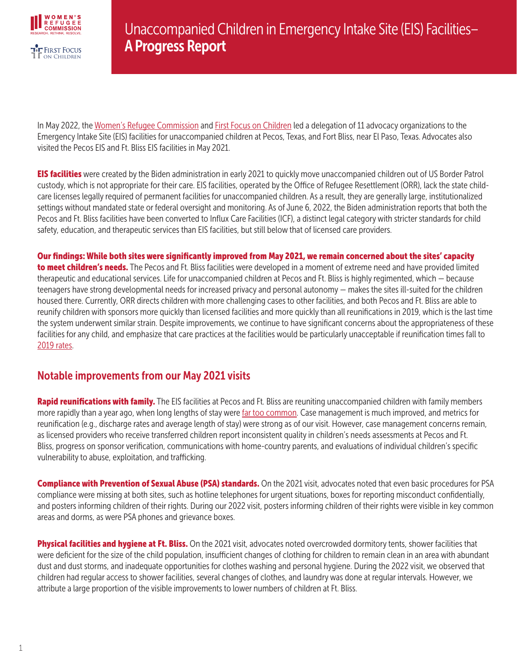

In May 2022, th[e Women's Refugee Commission](https://www.womensrefugeecommission.org/) and [First Focus on Children](https://firstfocus.org/) led a delegation of 11 advocacy organizations to the Emergency Intake Site (EIS) facilities for unaccompanied children at Pecos, Texas, and Fort Bliss, near El Paso, Texas. Advocates also visited the Pecos EIS and Ft. Bliss EIS facilities in May 2021.

**EIS facilities** were created by the Biden administration in early 2021 to quickly move unaccompanied children out of US Border Patrol custody, which is not appropriate for their care. EIS facilities, operated by the Office of Refugee Resettlement (ORR), lack the state childcare licenses legally required of permanent facilities for unaccompanied children. As a result, they are generally large, institutionalized settings without mandated state or federal oversight and monitoring. As of June 6, 2022, the Biden administration reports that both the Pecos and Ft. Bliss facilities have been converted to Influx Care Facilities (ICF), a distinct legal category with stricter standards for child safety, education, and therapeutic services than EIS facilities, but still below that of licensed care providers.

Our findings: While both sites were significantly improved from May 2021, we remain concerned about the sites' capacity **to meet children's needs.** The Pecos and Ft. Bliss facilities were developed in a moment of extreme need and have provided limited therapeutic and educational services. Life for unaccompanied children at Pecos and Ft. Bliss is highly regimented, which — because teenagers have strong developmental needs for increased privacy and personal autonomy — makes the sites ill-suited for the children housed there. Currently, ORR directs children with more challenging cases to other facilities, and both Pecos and Ft. Bliss are able to reunify children with sponsors more quickly than licensed facilities and more quickly than all reunifications in 2019, which is the last time the system underwent similar strain. Despite improvements, we continue to have significant concerns about the appropriateness of these facilities for any child, and emphasize that care practices at the facilities would be particularly unacceptable if reunification times fall to [2019 rates](https://www.hhs.gov/programs/social-services/unaccompanied-children/latest-uc-data-fy2019/index.html).

## Notable improvements from our May 2021 visits

Rapid reunifications with family. The EIS facilities at Pecos and Ft. Bliss are reuniting unaccompanied children with family members more rapidly than a year ago, when long lengths of stay were [far too common.](https://www.cbsnews.com/news/fort-bliss-texas-migrant-children-are-languishing-at-an-army-base-for-alarming-periods-of-time/) Case management is much improved, and metrics for reunification (e.g., discharge rates and average length of stay) were strong as of our visit. However, case management concerns remain, as licensed providers who receive transferred children report inconsistent quality in children's needs assessments at Pecos and Ft. Bliss, progress on sponsor verification, communications with home-country parents, and evaluations of individual children's specific vulnerability to abuse, exploitation, and trafficking.

Compliance with Prevention of Sexual Abuse (PSA) standards. On the 2021 visit, advocates noted that even basic procedures for PSA compliance were missing at both sites, such as hotline telephones for urgent situations, boxes for reporting misconduct confidentially, and posters informing children of their rights. During our 2022 visit, posters informing children of their rights were visible in key common areas and dorms, as were PSA phones and grievance boxes.

Physical facilities and hygiene at Ft. Bliss. On the 2021 visit, advocates noted overcrowded dormitory tents, shower facilities that were deficient for the size of the child population, insufficient changes of clothing for children to remain clean in an area with abundant dust and dust storms, and inadequate opportunities for clothes washing and personal hygiene. During the 2022 visit, we observed that children had regular access to shower facilities, several changes of clothes, and laundry was done at regular intervals. However, we attribute a large proportion of the visible improvements to lower numbers of children at Ft. Bliss.